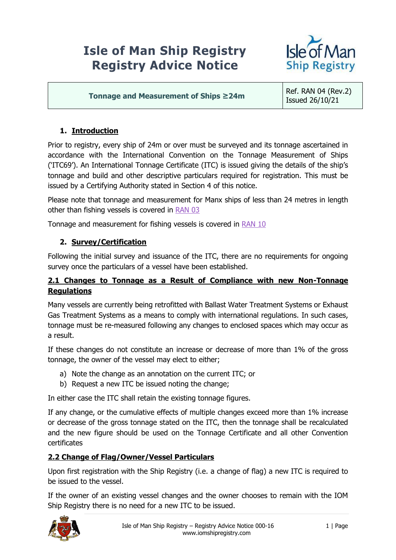# **Isle of Man Ship Registry Registry Advice Notice**



**Tonnage and Measurement of Ships ≥24m** Ref. RAN 04 (Rev.2)

Issued 26/10/21

# **1. Introduction**

Prior to registry, every ship of 24m or over must be surveyed and its tonnage ascertained in accordance with the International Convention on the Tonnage Measurement of Ships ('ITC69'). An International Tonnage Certificate (ITC) is issued giving the details of the ship's tonnage and build and other descriptive particulars required for registration. This must be issued by a Certifying Authority stated in Section 4 of this notice.

Please note that tonnage and measurement for Manx ships of less than 24 metres in length other than fishing vessels is covered in [RAN 03](https://www.iomshipregistry.com/media/2188/ran-03-certificates-of-survey-tonnage-measurement.pdf)

Tonnage and measurement for fishing vessels is covered in [RAN 10](https://www.iomshipregistry.com/media/1259/ran-10-registration-of-fishing-vessels-in-the-isle-of-man.pdf)

## **2. Survey/Certification**

Following the initial survey and issuance of the ITC, there are no requirements for ongoing survey once the particulars of a vessel have been established.

#### **2.1 Changes to Tonnage as a Result of Compliance with new Non-Tonnage Regulations**

Many vessels are currently being retrofitted with Ballast Water Treatment Systems or Exhaust Gas Treatment Systems as a means to comply with international regulations. In such cases, tonnage must be re-measured following any changes to enclosed spaces which may occur as a result.

If these changes do not constitute an increase or decrease of more than 1% of the gross tonnage, the owner of the vessel may elect to either;

- a) Note the change as an annotation on the current ITC; or
- b) Request a new ITC be issued noting the change;

In either case the ITC shall retain the existing tonnage figures.

If any change, or the cumulative effects of multiple changes exceed more than 1% increase or decrease of the gross tonnage stated on the ITC, then the tonnage shall be recalculated and the new figure should be used on the Tonnage Certificate and all other Convention certificates

#### **2.2 Change of Flag/Owner/Vessel Particulars**

Upon first registration with the Ship Registry (i.e. a change of flag) a new ITC is required to be issued to the vessel.

If the owner of an existing vessel changes and the owner chooses to remain with the IOM Ship Registry there is no need for a new ITC to be issued.